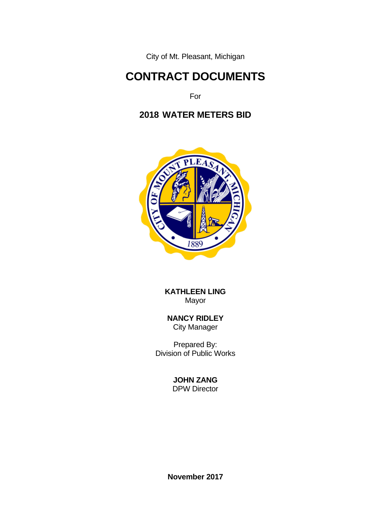City of Mt. Pleasant, Michigan

# **CONTRACT DOCUMENTS**

For

# **2018 WATER METERS BID**



 **KATHLEEN LING** Mayor

 **NANCY RIDLEY** City Manager

**Prepared By:** The Prepared By: Division of Public Works

# **JOHN ZANG**

DPW Director

**November 2017**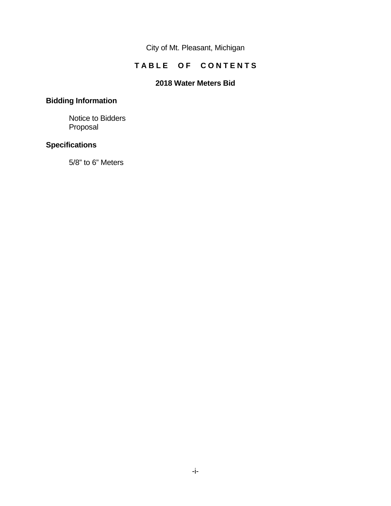City of Mt. Pleasant, Michigan

## TABLE OF CONTENTS

#### **2018 Water Meters Bid**

# **Bidding Information**

 Notice to Bidders Proposal

### **Specifications**

5/8" to 6" Meters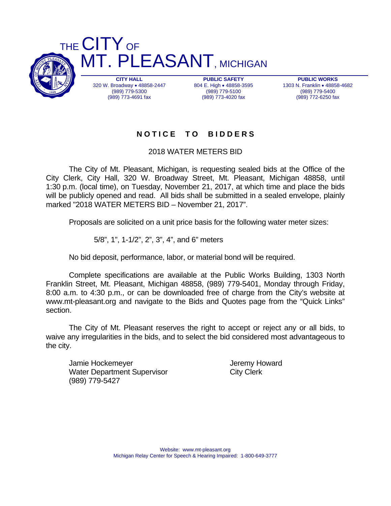

**PUBLIC WORKS**  1303 N. Franklin . 48858-4682 (989) 779-5400 (989) 772-6250 fax

# **N O T I C E T O B I D D E R S**

2018 WATER METERS BID

 The City of Mt. Pleasant, Michigan, is requesting sealed bids at the Office of the City Clerk, City Hall, 320 W. Broadway Street, Mt. Pleasant, Michigan 48858, until 1:30 p.m. (local time), on Tuesday, November 21, 2017, at which time and place the bids will be publicly opened and read. All bids shall be submitted in a sealed envelope, plainly marked "2018 WATER METERS BID – November 21, 2017".

Proposals are solicited on a unit price basis for the following water meter sizes:

5/8", 1", 1-1/2", 2", 3", 4", and 6" meters

No bid deposit, performance, labor, or material bond will be required.

 Complete specifications are available at the Public Works Building, 1303 North Franklin Street, Mt. Pleasant, Michigan 48858, (989) 779-5401, Monday through Friday, 8:00 a.m. to 4:30 p.m., or can be downloaded free of charge from the City's website at www.mt-pleasant.org and navigate to the Bids and Quotes page from the "Quick Links" section.

 The City of Mt. Pleasant reserves the right to accept or reject any or all bids, to waive any irregularities in the bids, and to select the bid considered most advantageous to the city.

Jamie Hockemeyer **Good Contract Contract Contract Contract Contract Contract Contract Contract Contract Contract Contract Contract Contract Contract Contract Contract Contract Contract Contract Contract Contract Contract C** Water Department Supervisor City Clerk (989) 779-5427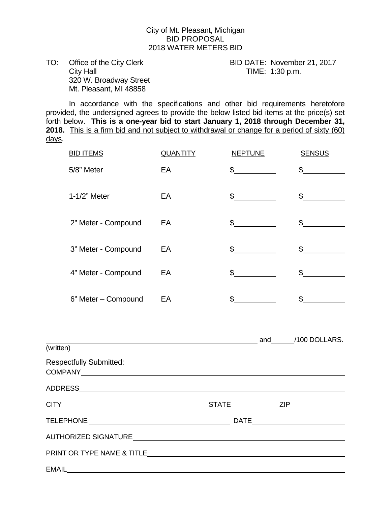#### City of Mt. Pleasant, Michigan BID PROPOSAL 2018 WATER METERS BID

TO: Office of the City Clerk BID DATE: November 21, 2017 City Hall City Hall City Hall City Hall City Hall City Hall City Hall City Hall City Hall City Hall City Hall City Hall City Hall City Hall City Hall City Hall City Hall City Hall City Hall City Hall City Hall City Hall Ci 320 W. Broadway Street Mt. Pleasant, MI 48858

 In accordance with the specifications and other bid requirements heretofore provided, the undersigned agrees to provide the below listed bid items at the price(s) set forth below. **This is a one-year bid to start January 1, 2018 through December 31, 2018.** This is a firm bid and not subject to withdrawal or change for a period of sixty (60) days.

| <b>BID ITEMS</b>                                                                                                                                                                                                              | <b>QUANTITY</b> | <b>NEPTUNE</b>                                                                           | <b>SENSUS</b>       |
|-------------------------------------------------------------------------------------------------------------------------------------------------------------------------------------------------------------------------------|-----------------|------------------------------------------------------------------------------------------|---------------------|
| 5/8" Meter                                                                                                                                                                                                                    | EA              | $\mathfrak{S}^-$                                                                         | $\mathsf{\$}$       |
| 1-1/2" Meter                                                                                                                                                                                                                  | EA              | $\frac{1}{\sqrt{1-\frac{1}{2}}\sqrt{1-\frac{1}{2}}\left(\frac{1}{2}-\frac{1}{2}\right)}$ | $\frac{1}{2}$       |
| 2" Meter - Compound                                                                                                                                                                                                           | EA              | $\frac{1}{2}$                                                                            | $\mathfrak s$       |
| 3" Meter - Compound                                                                                                                                                                                                           | EA              | $\mathbb{S}$                                                                             | $\mathfrak s$       |
| 4" Meter - Compound                                                                                                                                                                                                           | EA              | $\mathbb{S}$                                                                             | $\sim$              |
| 6" Meter - Compound                                                                                                                                                                                                           | EA              | $\mathbb{S}$                                                                             | $\frac{1}{2}$       |
| (written)                                                                                                                                                                                                                     |                 |                                                                                          | and $/100$ DOLLARS. |
| <b>Respectfully Submitted:</b><br>COMPANY COMPANY COMPANY                                                                                                                                                                     |                 |                                                                                          |                     |
|                                                                                                                                                                                                                               |                 |                                                                                          |                     |
|                                                                                                                                                                                                                               |                 |                                                                                          |                     |
|                                                                                                                                                                                                                               |                 |                                                                                          |                     |
|                                                                                                                                                                                                                               |                 |                                                                                          |                     |
| PRINT OR TYPE NAME & TITLE THE STATE OF THE STATE OF THE STATE OF THE STATE OF THE STATE OF THE STATE OF THE STATE OF THE STATE OF THE STATE OF THE STATE OF THE STATE OF THE STATE OF THE STATE OF THE STATE OF THE STATE OF |                 |                                                                                          |                     |
| <b>EMAIL</b>                                                                                                                                                                                                                  |                 |                                                                                          |                     |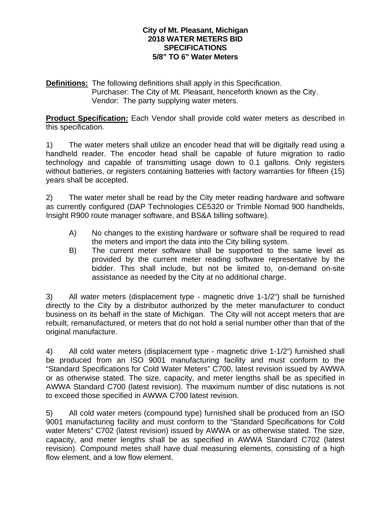#### **City of Mt. Pleasant, Michigan 2018 WATER METERS BID SPECIFICATIONS 5/8" TO 6" Water Meters**

**Definitions:** The following definitions shall apply in this Specification. Purchaser: The City of Mt. Pleasant, henceforth known as the City. Vendor: The party supplying water meters.

**Product Specification:** Each Vendor shall provide cold water meters as described in this specification.

1) The water meters shall utilize an encoder head that will be digitally read using a handheld reader. The encoder head shall be capable of future migration to radio technology and capable of transmitting usage down to 0.1 gallons. Only registers without batteries, or registers containing batteries with factory warranties for fifteen (15) years shall be accepted.

2) The water meter shall be read by the City meter reading hardware and software as currently configured (DAP Technologies CE5320 or Trimble Nomad 900 handhelds, Insight R900 route manager software, and BS&A billing software).

- A) No changes to the existing hardware or software shall be required to read the meters and import the data into the City billing system.
- B) The current meter software shall be supported to the same level as provided by the current meter reading software representative by the bidder. This shall include, but not be limited to, on-demand on-site assistance as needed by the City at no additional charge.

3) All water meters (displacement type - magnetic drive 1-1/2") shall be furnished directly to the City by a distributor authorized by the meter manufacturer to conduct business on its behalf in the state of Michigan. The City will not accept meters that are rebuilt, remanufactured, or meters that do not hold a serial number other than that of the original manufacture.

4) All cold water meters (displacement type - magnetic drive 1-1/2") furnished shall be produced from an ISO 9001 manufacturing facility and must conform to the "Standard Specifications for Cold Water Meters" C700, latest revision issued by AWWA or as otherwise stated. The size, capacity, and meter lengths shall be as specified in AWWA Standard C700 (latest revision). The maximum number of disc nutations is not to exceed those specified in AWWA C700 latest revision.

5) All cold water meters (compound type) furnished shall be produced from an ISO 9001 manufacturing facility and must conform to the "Standard Specifications for Cold water Meters" C702 (latest revision) issued by AWWA or as otherwise stated. The size, capacity, and meter lengths shall be as specified in AWWA Standard C702 (latest revision). Compound metes shall have dual measuring elements, consisting of a high flow element, and a low flow element.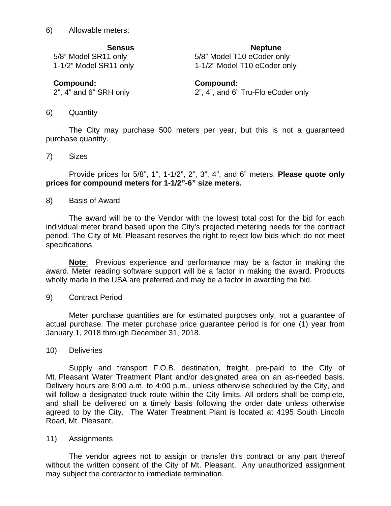6) Allowable meters:

**Sensus Neptune 1986** 

5/8" Model SR11 only 5/8" Model T10 eCoder only 1-1/2" Model SR11 only 1-1/2" Model T10 eCoder only

**Compound: Compound:**

2", 4" and 6" SRH only 2", 4", and 6" Tru-Flo eCoder only

6) Quantity

The City may purchase 500 meters per year, but this is not a guaranteed purchase quantity.

7) Sizes

Provide prices for 5/8", 1", 1-1/2", 2", 3", 4", and 6" meters. **Please quote only prices for compound meters for 1-1/2"-6" size meters.** 

8) Basis of Award

The award will be to the Vendor with the lowest total cost for the bid for each individual meter brand based upon the City's projected metering needs for the contract period. The City of Mt. Pleasant reserves the right to reject low bids which do not meet specifications.

**Note**: Previous experience and performance may be a factor in making the award. Meter reading software support will be a factor in making the award. Products wholly made in the USA are preferred and may be a factor in awarding the bid.

9) Contract Period

Meter purchase quantities are for estimated purposes only, not a guarantee of actual purchase. The meter purchase price guarantee period is for one (1) year from January 1, 2018 through December 31, 2018.

#### 10) Deliveries

Supply and transport F.O.B. destination, freight, pre-paid to the City of Mt. Pleasant Water Treatment Plant and/or designated area on an as-needed basis. Delivery hours are 8:00 a.m. to 4:00 p.m., unless otherwise scheduled by the City, and will follow a designated truck route within the City limits. All orders shall be complete, and shall be delivered on a timely basis following the order date unless otherwise agreed to by the City. The Water Treatment Plant is located at 4195 South Lincoln Road, Mt. Pleasant.

11) Assignments

The vendor agrees not to assign or transfer this contract or any part thereof without the written consent of the City of Mt. Pleasant. Any unauthorized assignment may subject the contractor to immediate termination.